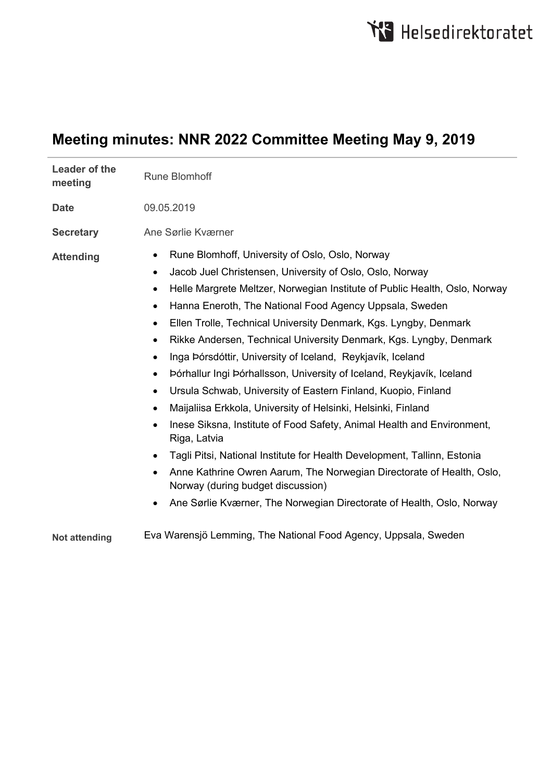# **Meeting minutes: NNR 2022 Committee Meeting May 9, 2019**

| <b>Leader of the</b><br>meeting | <b>Rune Blomhoff</b>                                                                                                                                                                                                                                                                                                                                                                                                                                                                                                                                                                                                                                                                                                                                                                                                                                                                                                                                                                                                                                                                                                                                        |
|---------------------------------|-------------------------------------------------------------------------------------------------------------------------------------------------------------------------------------------------------------------------------------------------------------------------------------------------------------------------------------------------------------------------------------------------------------------------------------------------------------------------------------------------------------------------------------------------------------------------------------------------------------------------------------------------------------------------------------------------------------------------------------------------------------------------------------------------------------------------------------------------------------------------------------------------------------------------------------------------------------------------------------------------------------------------------------------------------------------------------------------------------------------------------------------------------------|
| <b>Date</b>                     | 09.05.2019                                                                                                                                                                                                                                                                                                                                                                                                                                                                                                                                                                                                                                                                                                                                                                                                                                                                                                                                                                                                                                                                                                                                                  |
| <b>Secretary</b>                | Ane Sørlie Kværner                                                                                                                                                                                                                                                                                                                                                                                                                                                                                                                                                                                                                                                                                                                                                                                                                                                                                                                                                                                                                                                                                                                                          |
| <b>Attending</b>                | Rune Blomhoff, University of Oslo, Oslo, Norway<br>٠<br>Jacob Juel Christensen, University of Oslo, Oslo, Norway<br>$\bullet$<br>Helle Margrete Meltzer, Norwegian Institute of Public Health, Oslo, Norway<br>٠<br>Hanna Eneroth, The National Food Agency Uppsala, Sweden<br>$\bullet$<br>Ellen Trolle, Technical University Denmark, Kgs. Lyngby, Denmark<br>$\bullet$<br>Rikke Andersen, Technical University Denmark, Kgs. Lyngby, Denmark<br>$\bullet$<br>Inga Þórsdóttir, University of Iceland, Reykjavík, Iceland<br>$\bullet$<br>Þórhallur Ingi Þórhallsson, University of Iceland, Reykjavík, Iceland<br>$\bullet$<br>Ursula Schwab, University of Eastern Finland, Kuopio, Finland<br>٠<br>Maijaliisa Erkkola, University of Helsinki, Helsinki, Finland<br>$\bullet$<br>Inese Siksna, Institute of Food Safety, Animal Health and Environment,<br>Riga, Latvia<br>Tagli Pitsi, National Institute for Health Development, Tallinn, Estonia<br>Anne Kathrine Owren Aarum, The Norwegian Directorate of Health, Oslo,<br>$\bullet$<br>Norway (during budget discussion)<br>Ane Sørlie Kværner, The Norwegian Directorate of Health, Oslo, Norway |
| <b>Not attending</b>            | Eva Warensjö Lemming, The National Food Agency, Uppsala, Sweden                                                                                                                                                                                                                                                                                                                                                                                                                                                                                                                                                                                                                                                                                                                                                                                                                                                                                                                                                                                                                                                                                             |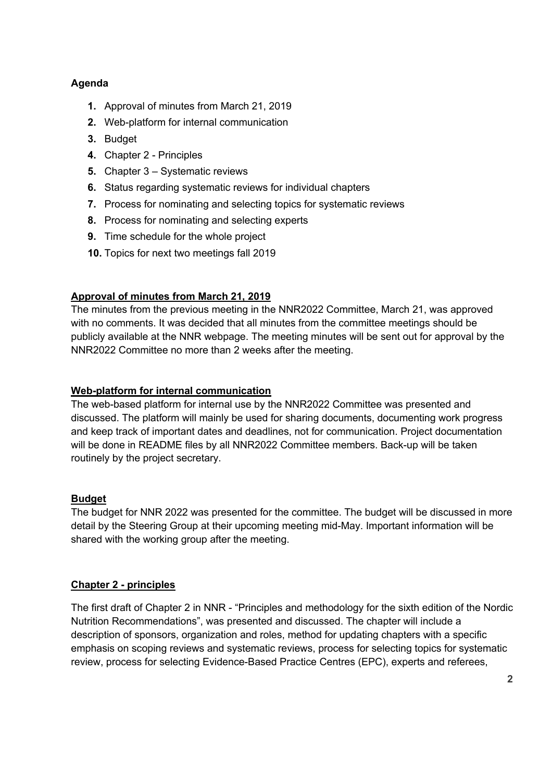# **Agenda**

- **1.** Approval of minutes from March 21, 2019
- **2.** Web-platform for internal communication
- **3.** Budget
- **4.** Chapter 2 Principles
- **5.** Chapter 3 Systematic reviews
- **6.** Status regarding systematic reviews for individual chapters
- **7.** Process for nominating and selecting topics for systematic reviews
- **8.** Process for nominating and selecting experts
- **9.** Time schedule for the whole project
- **10.** Topics for next two meetings fall 2019

# **Approval of minutes from March 21, 2019**

The minutes from the previous meeting in the NNR2022 Committee, March 21, was approved with no comments. It was decided that all minutes from the committee meetings should be publicly available at the NNR webpage. The meeting minutes will be sent out for approval by the NNR2022 Committee no more than 2 weeks after the meeting.

## **Web-platform for internal communication**

The web-based platform for internal use by the NNR2022 Committee was presented and discussed. The platform will mainly be used for sharing documents, documenting work progress and keep track of important dates and deadlines, not for communication. Project documentation will be done in README files by all NNR2022 Committee members. Back-up will be taken routinely by the project secretary.

## **Budget**

The budget for NNR 2022 was presented for the committee. The budget will be discussed in more detail by the Steering Group at their upcoming meeting mid-May. Important information will be shared with the working group after the meeting.

## **Chapter 2 - principles**

The first draft of Chapter 2 in NNR - "Principles and methodology for the sixth edition of the Nordic Nutrition Recommendations", was presented and discussed. The chapter will include a description of sponsors, organization and roles, method for updating chapters with a specific emphasis on scoping reviews and systematic reviews, process for selecting topics for systematic review, process for selecting Evidence-Based Practice Centres (EPC), experts and referees,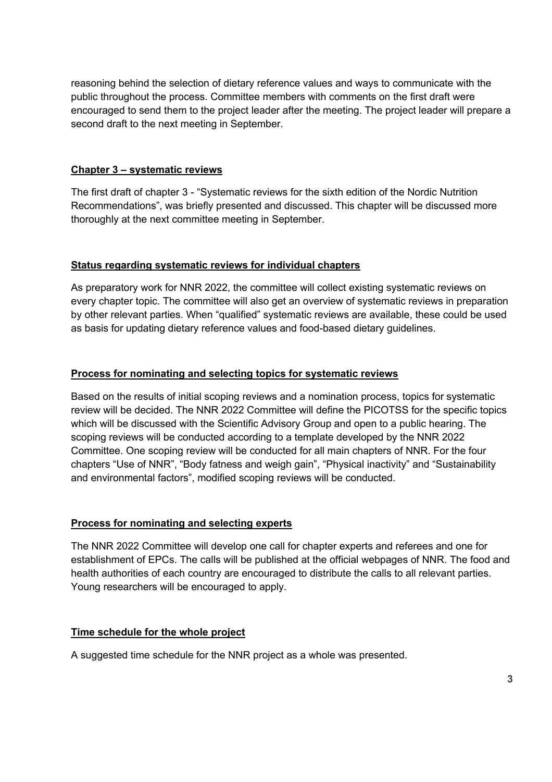reasoning behind the selection of dietary reference values and ways to communicate with the public throughout the process. Committee members with comments on the first draft were encouraged to send them to the project leader after the meeting. The project leader will prepare a second draft to the next meeting in September.

#### **Chapter 3 – systematic reviews**

The first draft of chapter 3 - "Systematic reviews for the sixth edition of the Nordic Nutrition Recommendations", was briefly presented and discussed. This chapter will be discussed more thoroughly at the next committee meeting in September.

#### **Status regarding systematic reviews for individual chapters**

As preparatory work for NNR 2022, the committee will collect existing systematic reviews on every chapter topic. The committee will also get an overview of systematic reviews in preparation by other relevant parties. When "qualified" systematic reviews are available, these could be used as basis for updating dietary reference values and food-based dietary guidelines.

#### **Process for nominating and selecting topics for systematic reviews**

Based on the results of initial scoping reviews and a nomination process, topics for systematic review will be decided. The NNR 2022 Committee will define the PICOTSS for the specific topics which will be discussed with the Scientific Advisory Group and open to a public hearing. The scoping reviews will be conducted according to a template developed by the NNR 2022 Committee. One scoping review will be conducted for all main chapters of NNR. For the four chapters "Use of NNR", "Body fatness and weigh gain", "Physical inactivity" and "Sustainability and environmental factors", modified scoping reviews will be conducted.

#### **Process for nominating and selecting experts**

The NNR 2022 Committee will develop one call for chapter experts and referees and one for establishment of EPCs. The calls will be published at the official webpages of NNR. The food and health authorities of each country are encouraged to distribute the calls to all relevant parties. Young researchers will be encouraged to apply.

#### **Time schedule for the whole project**

A suggested time schedule for the NNR project as a whole was presented.